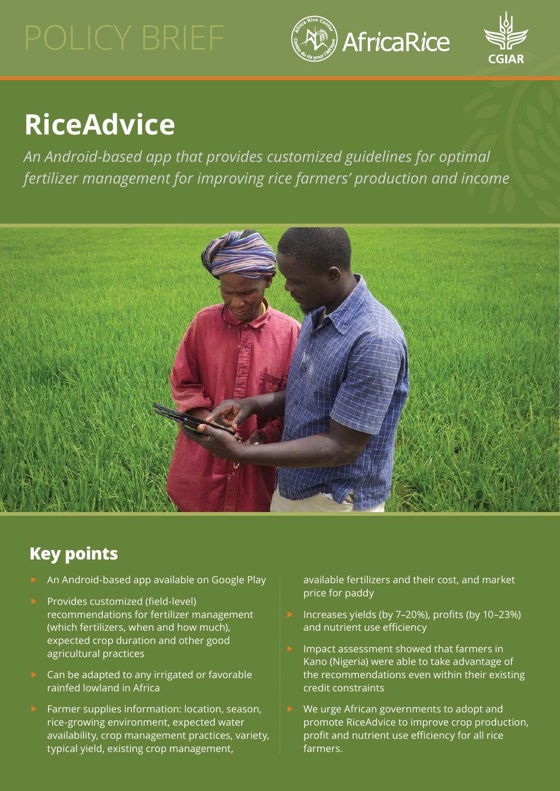



# **RiceAdvice**

*An Android-based app that provides customized guidelines for optimal fertilizer management for improving rice farmers' production and income*



## **Key points**

- An Android-based app available on Google Play
- Provides customized (field-level) recommendations for fertilizer management (which fertilizers, when and how much), expected crop duration and other good agricultural practices
- Can be adapted to any irrigated or favorable rainfed lowland in Africa
- Farmer supplies information: location, season, rice-growing environment, expected water availability, crop management practices, variety, typical yield, existing crop management,

available fertilizers and their cost, and market price for paddy

- Increases yields (by 7-20%), profits (by 10-23%) and nutrient use efficiency
- Impact assessment showed that farmers in Kano (Nigeria) were able to take advantage of the recommendations even within their existing credit constraints
- We urge African governments to adopt and promote RiceAdvice to improve crop production, profit and nutrient use efficiency for all rice farmers.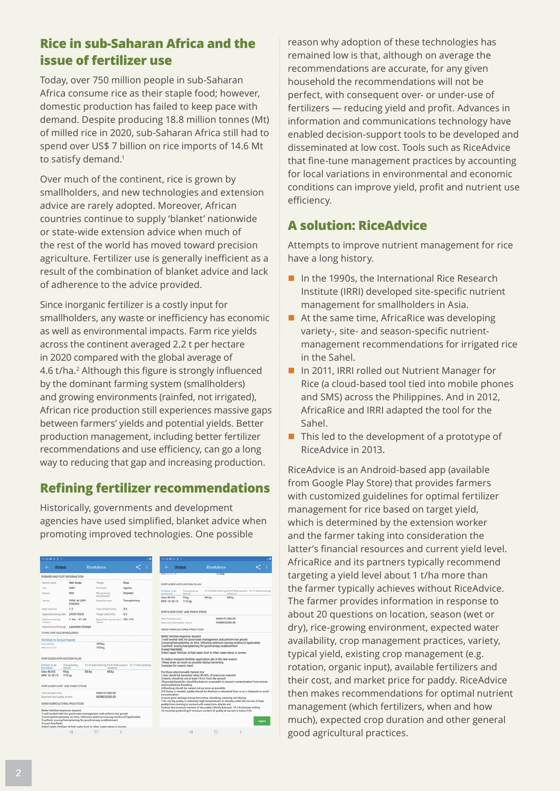#### <span id="page-1-0"></span>**Rice in sub-Saharan Africa and the issue of fertilizer use**

Today, over 750 million people in sub-Saharan Africa consume rice as their staple food; however, domestic production has failed to keep pace with demand. Despite producing 18.8 million tonnes (Mt) of milled rice in 2020, sub-Saharan Africa still had to spend over US\$ 7 billion on rice imports of 14.6 Mt to satisfy demand.<sup>[1](#page-3-0)</sup>

Over much of the continent, rice is grown by smallholders, and new technologies and extension advice are rarely adopted. Moreover, African countries continue to supply 'blanket' nationwide or state-wide extension advice when much of the rest of the world has moved toward precision agriculture. Fertilizer use is generally inefficient as a result of the combination of blanket advice and lack of adherence to the advice provided.

Since inorganic fertilizer is a costly input for smallholders, any waste or inefficiency has economic as well as environmental impacts. Farm rice yields across the continent averaged 2.2 t per hectare in 2020 compared with the global average of 4.6 t/ha.<sup>[2](#page-3-0)</sup> Although this figure is strongly influenced by the dominant farming system (smallholders) and growing environments (rainfed, not irrigated), African rice production still experiences massive gaps between farmers' yields and potential yields. Better production management, including better fertilizer recommendations and use efficiency, can go a long way to reducing that gap and increasing production.

#### **Refining fertilizer recommendations**

Historically, governments and development agencies have used simplified, blanket advice when promoting improved technologies. One possible

| 11:36 Q G L +                                             |                          | 11:40 Q G 1 -                                                                                                                                                                                                                                                                                            |                                                                             |                                             |                                                       |                                                                                                                                                                                         |                   |                                |                                                                                                                                                                             |       |
|-----------------------------------------------------------|--------------------------|----------------------------------------------------------------------------------------------------------------------------------------------------------------------------------------------------------------------------------------------------------------------------------------------------------|-----------------------------------------------------------------------------|---------------------------------------------|-------------------------------------------------------|-----------------------------------------------------------------------------------------------------------------------------------------------------------------------------------------|-------------------|--------------------------------|-----------------------------------------------------------------------------------------------------------------------------------------------------------------------------|-------|
| <b>Output</b><br>$\leftarrow$                             |                          | <b>RiceAdvice</b>                                                                                                                                                                                                                                                                                        |                                                                             |                                             |                                                       | Output                                                                                                                                                                                  | <b>RiceAdvice</b> |                                |                                                                                                                                                                             |       |
| FARMER AND PLOT INFORMATION                               |                          |                                                                                                                                                                                                                                                                                                          |                                                                             | <b><i><u>RANDERSHIP</u></i></b>             |                                                       |                                                                                                                                                                                         |                   | 1723.00                        |                                                                                                                                                                             |       |
| Farmer name                                               | Ado Korau                | Village                                                                                                                                                                                                                                                                                                  | Kuna                                                                        |                                             |                                                       | FERTILIZER APPLICATION PLAN                                                                                                                                                             |                   |                                |                                                                                                                                                                             |       |
| Vest                                                      | 2021                     | Plot/Seld                                                                                                                                                                                                                                                                                                | Agolas                                                                      |                                             |                                                       |                                                                                                                                                                                         |                   |                                |                                                                                                                                                                             |       |
| Execute                                                   | Wet                      | Rice-growing<br>erseinboarent.                                                                                                                                                                                                                                                                           | Iniqated                                                                    | Fast Ager to be<br>purchased<br>Unea 46-0-0 |                                                       | Transplanting<br>therall<br><b>9 kg</b>                                                                                                                                                 | 88 kg             | intiationi<br>88 kg            | 31-35 DAS (sliering) 43-47 DAS (panicle 73-77 DAS (booting)                                                                                                                 |       |
| Variety                                                   | FARO 44 (SIP)<br>692033) | Establishment                                                                                                                                                                                                                                                                                            | Transplanting                                                               | NPK 15-15-15                                |                                                       | 173 kg                                                                                                                                                                                  |                   |                                |                                                                                                                                                                             |       |
| Field size (hall)                                         | 1.0                      | Typical Vield (t/ha)                                                                                                                                                                                                                                                                                     | 3.6                                                                         |                                             |                                                       |                                                                                                                                                                                         |                   |                                |                                                                                                                                                                             |       |
| Expected sowing date                                      | 24/07/2020               | Target yield (1/h4)                                                                                                                                                                                                                                                                                      | 5.5                                                                         |                                             | FERTILIZER COST AND PAGOY PRICE.                      |                                                                                                                                                                                         |                   |                                |                                                                                                                                                                             |       |
| Optimum sqwing<br>window                                  | $1.8n - 31.84$           | Expected crop duration \$01-110<br>(days)                                                                                                                                                                                                                                                                |                                                                             |                                             | Total fartilizer could<br>Expected total poddy income |                                                                                                                                                                                         |                   | NGN107.400.00<br>NGN825.000.00 |                                                                                                                                                                             |       |
| Expected teeding age Less than 20 days                    |                          |                                                                                                                                                                                                                                                                                                          |                                                                             |                                             |                                                       |                                                                                                                                                                                         |                   |                                |                                                                                                                                                                             |       |
| TOTAL FERTILIZER REQUIRED                                 |                          |                                                                                                                                                                                                                                                                                                          |                                                                             |                                             |                                                       | GOOD AGRICULTURAL PRACTICES.                                                                                                                                                            |                   |                                |                                                                                                                                                                             |       |
| Fertilizer to be purchased                                |                          |                                                                                                                                                                                                                                                                                                          |                                                                             |                                             |                                                       | Better fertilizer response requires<br>1 well leveled field for good water management and uniform rice growth                                                                           |                   |                                |                                                                                                                                                                             |       |
| Unix 44-0-0                                               |                          | <b>185 kg</b>                                                                                                                                                                                                                                                                                            |                                                                             |                                             |                                                       |                                                                                                                                                                                         |                   |                                | 2 sowing/transplanting on time, following optimum sowing window (if applicable)                                                                                             |       |
| MPK 15-15-15                                              |                          | 173 kg                                                                                                                                                                                                                                                                                                   |                                                                             | 4 weed-free fields                          |                                                       | 3 uniform sowing/transplanting for good cangoy establishment                                                                                                                            |                   |                                |                                                                                                                                                                             |       |
|                                                           |                          |                                                                                                                                                                                                                                                                                                          |                                                                             |                                             |                                                       | 5 don't apply fertilizer at high water level or when water stress is severe                                                                                                             |                   |                                |                                                                                                                                                                             |       |
| FERTILIZER APPUCATION PLAN                                |                          |                                                                                                                                                                                                                                                                                                          |                                                                             |                                             |                                                       | To reduce inorganic fertilizer application rate in the next season                                                                                                                      |                   |                                |                                                                                                                                                                             |       |
| Fertilizer to be<br>purchased                             | Transplanting<br>(3.483) |                                                                                                                                                                                                                                                                                                          | I1-15 DAS (tillering) 43-47 DAS (panicle 73-77 DAS (booting)<br>initiations |                                             |                                                       | 1 keep straw as much as possible during harvesting<br>2 prepare for organic input                                                                                                       |                   |                                |                                                                                                                                                                             |       |
| Unea 46-0-0<br>9 <sub>kg</sub><br>NPK 15-15-15            | 88 kg<br>173 kg          | \$8 kg                                                                                                                                                                                                                                                                                                   |                                                                             |                                             |                                                       | For those who manually harvest rice<br>1 rice should be harvested when 80-90% of grains are matured<br>2 stems should be cut at least 15 cm from the ground<br>and mud before threshing |                   |                                | 3 harvested panicles should be kept on a tarpaulin to prevent contamination from stones.                                                                                    |       |
| FERTILIZER COST AND PAGOV PRICE                           |                          |                                                                                                                                                                                                                                                                                                          |                                                                             |                                             |                                                       | 4 threshing should be carried out as soon as possible                                                                                                                                   |                   |                                |                                                                                                                                                                             |       |
| Total fertiliser cost                                     |                          | NGN107.400.00                                                                                                                                                                                                                                                                                            |                                                                             | contamination                               |                                                       |                                                                                                                                                                                         |                   |                                | 5 if drying is needed, paddy should be dried on a cernented floor or on a tarpaulin to avoid                                                                                |       |
| Expected total paddy income                               |                          | NGN#25.000.00                                                                                                                                                                                                                                                                                            |                                                                             |                                             |                                                       | 6 avoid grain spillage during harvesting, threshing, cleaning and drying                                                                                                                |                   |                                |                                                                                                                                                                             |       |
| GOOD AGRICULTURAL PRACTICES.                              |                          |                                                                                                                                                                                                                                                                                                          |                                                                             |                                             |                                                       | paddy from coming in contact with water (rain, drizzle etc)                                                                                                                             |                   |                                | 7 do not dry paddy in extremely high temperatures or directly under the hot sun 8 keep<br>9 check the moisture content of the paddy (ideally between 12-14%) before milling |       |
| Better fertilizer response requires<br>4 weed-free fields |                          | 1 well leveled field for good water management and uniform rice growth<br>2 sowing/transplanting on time, following optimum sowing window (if applicable)<br>3 uniform sowing/transplanting for good canopy establishment<br>5 don't apply fertilizer at high water level or when water stress is severe |                                                                             |                                             |                                                       | 10 consider parboling if moisture content of paddy at harvest is below 12%.                                                                                                             |                   |                                |                                                                                                                                                                             | Agree |
|                                                           | $\mathbf{1}$             | o                                                                                                                                                                                                                                                                                                        |                                                                             |                                             |                                                       | 111                                                                                                                                                                                     | $\circ$           |                                |                                                                                                                                                                             |       |

reason why adoption of these technologies has remained low is that, although on average the recommendations are accurate, for any given household the recommendations will not be perfect, with consequent over- or under-use of fertilizers — reducing yield and profit. Advances in information and communications technology have enabled decision-support tools to be developed and disseminated at low cost. Tools such as RiceAdvice that fine-tune management practices by accounting for local variations in environmental and economic conditions can improve yield, profit and nutrient use efficiency.

### **A solution: RiceAdvice**

Attempts to improve nutrient management for rice have a long history.

- In the 1990s, the International Rice Research Institute (IRRI) developed site-specific nutrient management for smallholders in Asia.
- $\blacksquare$  At the same time, AfricaRice was developing variety-, site- and season-specific nutrientmanagement recommendations for irrigated rice in the Sahel.
- In 2011, IRRI rolled out Nutrient Manager for Rice (a cloud-based tool tied into mobile phones and SMS) across the Philippines. And in 2012, AfricaRice and IRRI adapted the tool for the Sahel.
- $\blacksquare$  This led to the development of a prototype of RiceAdvice in 2013.

RiceAdvice is an Android-based app (available from Google Play Store) that provides farmers with customized guidelines for optimal fertilizer management for rice based on target yield, which is determined by the extension worker and the farmer taking into consideration the latter's financial resources and current yield level. AfricaRice and its partners typically recommend targeting a yield level about 1 t/ha more than the farmer typically achieves without RiceAdvice. The farmer provides information in response to about 20 questions on location, season (wet or dry), rice-growing environment, expected water availability, crop management practices, variety, typical yield, existing crop management (e.g. rotation, organic input), available fertilizers and their cost, and market price for paddy. RiceAdvice then makes recommendations for optimal nutrient management (which fertilizers, when and how much), expected crop duration and other general good agricultural practices.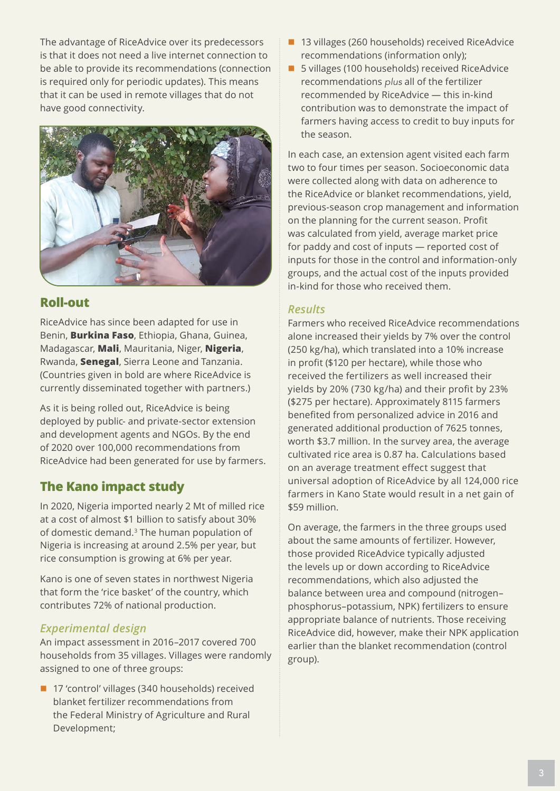<span id="page-2-0"></span>The advantage of RiceAdvice over its predecessors is that it does not need a live internet connection to be able to provide its recommendations (connection is required only for periodic updates). This means that it can be used in remote villages that do not have good connectivity.



#### **Roll-out**

RiceAdvice has since been adapted for use in Benin, **Burkina Faso**, Ethiopia, Ghana, Guinea, Madagascar, **Mali**, Mauritania, Niger, **Nigeria**, Rwanda, **Senegal**, Sierra Leone and Tanzania. (Countries given in bold are where RiceAdvice is currently disseminated together with partners.)

As it is being rolled out, RiceAdvice is being deployed by public- and private-sector extension and development agents and NGOs. By the end of 2020 over 100,000 recommendations from RiceAdvice had been generated for use by farmers.

#### **The Kano impact study**

In 2020, Nigeria imported nearly 2 Mt of milled rice at a cost of almost \$1 billion to satisfy about 30% of domestic demand.[3](#page-3-0) The human population of Nigeria is increasing at around 2.5% per year, but rice consumption is growing at 6% per year.

Kano is one of seven states in northwest Nigeria that form the 'rice basket' of the country, which contributes 72% of national production.

#### *Experimental design*

An impact assessment in 2016–2017 covered 700 households from 35 villages. Villages were randomly assigned to one of three groups:

■ 17 'control' villages (340 households) received blanket fertilizer recommendations from the Federal Ministry of Agriculture and Rural Development;

- 13 villages (260 households) received RiceAdvice recommendations (information only);
- 5 villages (100 households) received RiceAdvice recommendations *plus* all of the fertilizer recommended by RiceAdvice — this in-kind contribution was to demonstrate the impact of farmers having access to credit to buy inputs for the season.

In each case, an extension agent visited each farm two to four times per season. Socioeconomic data were collected along with data on adherence to the RiceAdvice or blanket recommendations, yield, previous-season crop management and information on the planning for the current season. Profit was calculated from yield, average market price for paddy and cost of inputs — reported cost of inputs for those in the control and information-only groups, and the actual cost of the inputs provided in-kind for those who received them.

#### *Results*

Farmers who received RiceAdvice recommendations alone increased their yields by 7% over the control (250 kg/ha), which translated into a 10% increase in profit (\$120 per hectare), while those who received the fertilizers as well increased their yields by 20% (730 kg/ha) and their profit by 23% (\$275 per hectare). Approximately 8115 farmers benefited from personalized advice in 2016 and generated additional production of 7625 tonnes, worth \$3.7 million. In the survey area, the average cultivated rice area is 0.87 ha. Calculations based on an average treatment effect suggest that universal adoption of RiceAdvice by all 124,000 rice farmers in Kano State would result in a net gain of \$59 million.

On average, the farmers in the three groups used about the same amounts of fertilizer. However, those provided RiceAdvice typically adjusted the levels up or down according to RiceAdvice recommendations, which also adjusted the balance between urea and compound (nitrogen– phosphorus–potassium, NPK) fertilizers to ensure appropriate balance of nutrients. Those receiving RiceAdvice did, however, make their NPK application earlier than the blanket recommendation (control group).